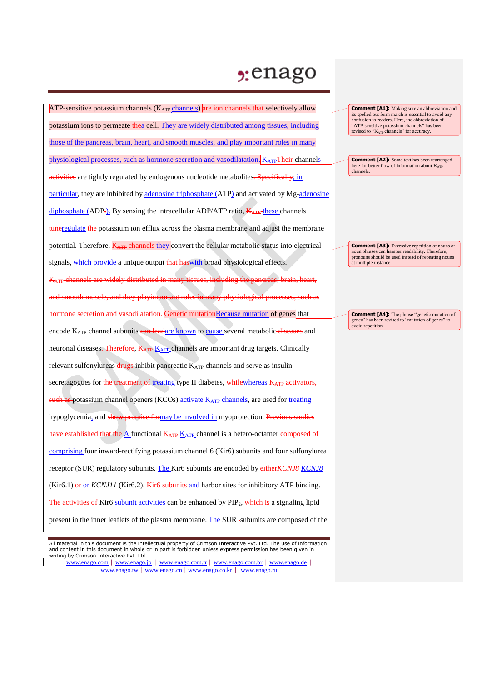## , enago

| ATP-sensitive potassium channels $(K_{ATP}$ channels) are ion channels that selectively allow                                |
|------------------------------------------------------------------------------------------------------------------------------|
| potassium ions to permeate thea cell. They are widely distributed among tissues, including                                   |
| those of the pancreas, brain, heart, and smooth muscles, and play important roles in many                                    |
| physiological processes, such as hormone secretion and vasodilatation. $K_{ATP}$ Their channels                              |
| activities are tightly regulated by endogenous nucleotide metabolites. Specifically; in                                      |
| particular, they are inhibited by adenosine triphosphate (ATP) and activated by Mg-adenosine                                 |
| diphosphate (ADP-). By sensing the intracellular ADP/ATP ratio, KATP-these channels                                          |
| <b>tuneregulate</b> the potassium ion efflux across the plasma membrane and adjust the membrane                              |
| potential. Therefore, <b>KATP</b> channels they convert the cellular metabolic status into electrical                        |
| signals, which provide a unique output that has with broad physiological effects.                                            |
| K <sub>ATP</sub> -channels are widely distributed in many tissues, including the pancreas, brain, heart,                     |
| and smooth muscle, and they playimportant roles in many physiological processes, such as                                     |
| hormone secretion and vasodilatation. Genetic mutation Because mutation of genes that                                        |
| encode KATP channel subunits ean leadare known to cause several metabolic diseases and                                       |
| neuronal diseases <del>. Therefore</del> , K <sub>ATP</sub> K <sub>ATP</sub> channels are important drug targets. Clinically |
| relevant sulfonylureas drugs-inhibit pancreatic K <sub>ATP</sub> channels and serve as insulin                               |
| secretagogues for the treatment of treating type II diabetes, while whereas KATP activators,                                 |
| such as potassium channel openers (KCOs) activate K <sub>ATP</sub> channels, are used for treating                           |
| hypoglycemia, and show promise formay be involved in myoprotection. Previous studies                                         |
| have established that the $\Delta$ functional $K_{ATP}K_{ATP}$ channel is a hetero-octamer composed of                       |
| comprising four inward-rectifying potassium channel 6 (Kir6) subunits and four sulfonylurea                                  |
| receptor (SUR) regulatory subunits. The Kir6 subunits are encoded by either KCNJ8 KCNJ8                                      |
| $(Kir6.1)$ or $\frac{or}{KCNJ11}$ (Kir6.2). Kir6 subunits and harbor sites for inhibitory ATP binding.                       |
| The activities of Kir6 subunit activities can be enhanced by PIP <sub>2</sub> , which is a signaling lipid                   |
| present in the inner leaflets of the plasma membrane. The SUR-subunits are composed of the                                   |

**Comment [A1]:** Making sure an abbreviation and its spelled out form match is essential to avoid any<br>
confusion to readers. Here, the abbreviation of<br>
"ATP-sensitive potassium channels" has been<br>
revised to "K<sub>ATP</sub> channels" for accuracy.

**Comment [A2]:** Some text has been rearranged here for better flow of information about K<sub>ATP</sub> channels.

**Comment [A3]:** Excessive repetition of nouns or noun phrases can hamper readability. Therefore, pronouns should be used instead of repeating nouns at multiple instance.

**Comment [A4]:** The phrase "genetic mutation of genes" has been revised to "mutation of genes" to avoid repetition.

All material in this document is the intellectual property of Crimson Interactive Pvt. Ltd. The use of information and content in this document in whole or in part is forbidden unless express permission has been given in writing by Crimson Interactive Pvt. Ltd.

www.enago.com | www.enago.jp - | www.enago.com.tr | www.enago.com.br | www.enago.de | www.enago.tw | www.enago.cn | www.enago.co.kr | www.enago.ru